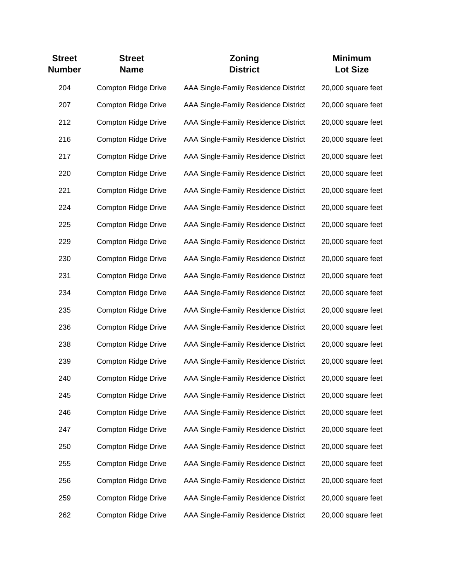| <b>Street</b><br><b>Number</b> | <b>Street</b><br><b>Name</b> | Zoning<br><b>District</b>            | <b>Minimum</b><br><b>Lot Size</b> |
|--------------------------------|------------------------------|--------------------------------------|-----------------------------------|
| 204                            | <b>Compton Ridge Drive</b>   | AAA Single-Family Residence District | 20,000 square feet                |
| 207                            | <b>Compton Ridge Drive</b>   | AAA Single-Family Residence District | 20,000 square feet                |
| 212                            | <b>Compton Ridge Drive</b>   | AAA Single-Family Residence District | 20,000 square feet                |
| 216                            | <b>Compton Ridge Drive</b>   | AAA Single-Family Residence District | 20,000 square feet                |
| 217                            | <b>Compton Ridge Drive</b>   | AAA Single-Family Residence District | 20,000 square feet                |
| 220                            | <b>Compton Ridge Drive</b>   | AAA Single-Family Residence District | 20,000 square feet                |
| 221                            | <b>Compton Ridge Drive</b>   | AAA Single-Family Residence District | 20,000 square feet                |
| 224                            | <b>Compton Ridge Drive</b>   | AAA Single-Family Residence District | 20,000 square feet                |
| 225                            | <b>Compton Ridge Drive</b>   | AAA Single-Family Residence District | 20,000 square feet                |
| 229                            | <b>Compton Ridge Drive</b>   | AAA Single-Family Residence District | 20,000 square feet                |
| 230                            | <b>Compton Ridge Drive</b>   | AAA Single-Family Residence District | 20,000 square feet                |
| 231                            | <b>Compton Ridge Drive</b>   | AAA Single-Family Residence District | 20,000 square feet                |
| 234                            | <b>Compton Ridge Drive</b>   | AAA Single-Family Residence District | 20,000 square feet                |
| 235                            | <b>Compton Ridge Drive</b>   | AAA Single-Family Residence District | 20,000 square feet                |
| 236                            | <b>Compton Ridge Drive</b>   | AAA Single-Family Residence District | 20,000 square feet                |
| 238                            | <b>Compton Ridge Drive</b>   | AAA Single-Family Residence District | 20,000 square feet                |
| 239                            | <b>Compton Ridge Drive</b>   | AAA Single-Family Residence District | 20,000 square feet                |
| 240                            | <b>Compton Ridge Drive</b>   | AAA Single-Family Residence District | 20,000 square feet                |
| 245                            | <b>Compton Ridge Drive</b>   | AAA Single-Family Residence District | 20,000 square feet                |
| 246                            | <b>Compton Ridge Drive</b>   | AAA Single-Family Residence District | 20,000 square feet                |
| 247                            | <b>Compton Ridge Drive</b>   | AAA Single-Family Residence District | 20,000 square feet                |
| 250                            | <b>Compton Ridge Drive</b>   | AAA Single-Family Residence District | 20,000 square feet                |
| 255                            | <b>Compton Ridge Drive</b>   | AAA Single-Family Residence District | 20,000 square feet                |
| 256                            | <b>Compton Ridge Drive</b>   | AAA Single-Family Residence District | 20,000 square feet                |
| 259                            | <b>Compton Ridge Drive</b>   | AAA Single-Family Residence District | 20,000 square feet                |
| 262                            | <b>Compton Ridge Drive</b>   | AAA Single-Family Residence District | 20,000 square feet                |